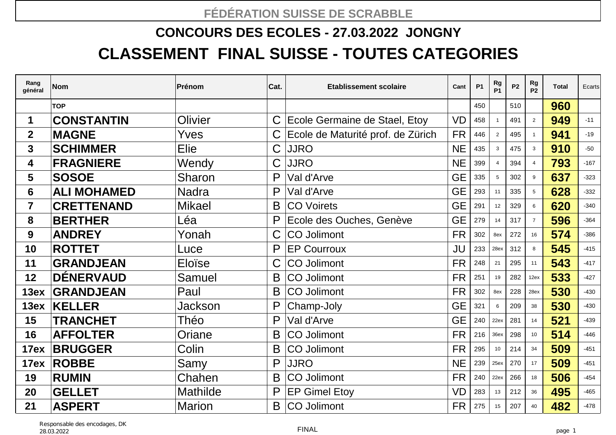## **CONCOURS DES ECOLES - 27.03.2022 JONGNY CLASSEMENT FINAL SUISSE - TOUTES CATEGORIES**

| Rang<br>général | <b>Nom</b>         | Prénom        | Cat. | <b>Etablissement scolaire</b>     | Cant      | <b>P1</b> | <b>Rg</b><br><b>P1</b> | <b>P2</b> | Rg<br><b>P2</b> | <b>Total</b> | Ecarts |
|-----------------|--------------------|---------------|------|-----------------------------------|-----------|-----------|------------------------|-----------|-----------------|--------------|--------|
|                 | <b>TOP</b>         |               |      |                                   |           | 450       |                        | 510       |                 | 960          |        |
| 1               | <b>CONSTANTIN</b>  | Olivier       |      | Ecole Germaine de Stael, Etoy     | <b>VD</b> | 458       |                        | 491       | $\overline{2}$  | 949          | $-11$  |
| $\mathbf{2}$    | <b>MAGNE</b>       | Yves          |      | Ecole de Maturité prof. de Zürich | <b>FR</b> | 446       | $\overline{2}$         | 495       | $\mathbf{1}$    | 941          | $-19$  |
| 3               | <b>SCHIMMER</b>    | Elie          | C.   | <b>JJRO</b>                       | <b>NE</b> | 435       | 3                      | 475       | 3               | 910          | $-50$  |
| 4               | <b>FRAGNIERE</b>   | Wendy         | C    | <b>JJRO</b>                       | <b>NE</b> | 399       | $\overline{4}$         | 394       | $\overline{4}$  | 793          | $-167$ |
| 5               | <b>SOSOE</b>       | Sharon        | P    | Val d'Arve                        | <b>GE</b> | 335       | 5                      | 302       | 9               | 637          | $-323$ |
| 6               | <b>ALI MOHAMED</b> | <b>Nadra</b>  | P    | Val d'Arve                        | <b>GE</b> | 293       | 11                     | 335       | 5               | 628          | $-332$ |
| 7               | <b>CRETTENAND</b>  | <b>Mikael</b> | B    | <b>CO Voirets</b>                 | <b>GE</b> | 291       | 12                     | 329       | 6               | 620          | $-340$ |
| 8               | <b>BERTHER</b>     | Léa           | P    | Ecole des Ouches, Genève          | <b>GE</b> | 279       | 14                     | 317       | $\overline{7}$  | 596          | $-364$ |
| 9               | <b>ANDREY</b>      | Yonah         | C    | <b>CO Jolimont</b>                | <b>FR</b> | 302       | 8ex                    | 272       | 16              | 574          | $-386$ |
| 10              | <b>ROTTET</b>      | Luce          | P    | <b>EP Courroux</b>                | JU        | 233       | 28ex                   | 312       | 8               | 545          | $-415$ |
| 11              | <b>GRANDJEAN</b>   | <b>Eloïse</b> |      | <b>CO Jolimont</b>                | <b>FR</b> | 248       | 21                     | 295       | 11              | 543          | $-417$ |
| 12              | <b>DÉNERVAUD</b>   | Samuel        | B    | <b>CO Jolimont</b>                | <b>FR</b> | 251       | 19                     | 282       | 12ex            | 533          | $-427$ |
| 13ex            | <b>GRANDJEAN</b>   | Paul          | B    | <b>CO Jolimont</b>                | <b>FR</b> | 302       | 8ex                    | 228       | 28ex            | 530          | $-430$ |
| 13ex            | <b>KELLER</b>      | Jackson       | P    | Champ-Joly                        | <b>GE</b> | 321       | 6                      | 209       | 38              | 530          | $-430$ |
| 15              | <b>TRANCHET</b>    | Théo          | P    | Val d'Arve                        | <b>GE</b> | 240       | 22ex                   | 281       | 14              | 521          | $-439$ |
| 16              | <b>AFFOLTER</b>    | Oriane        | B    | <b>CO Jolimont</b>                | <b>FR</b> | 216       | 36ex                   | 298       | 10              | 514          | $-446$ |
| 17ex            | <b>BRUGGER</b>     | Colin         | B    | <b>CO Jolimont</b>                | <b>FR</b> | 295       | 10                     | 214       | 34              | 509          | $-451$ |
| 17ex            | <b>ROBBE</b>       | Samy          | P    | <b>JJRO</b>                       | <b>NE</b> | 239       | 25ex                   | 270       | 17              | 509          | $-451$ |
| 19              | <b>RUMIN</b>       | Chahen        | B    | <b>CO Jolimont</b>                | <b>FR</b> | 240       | 22ex                   | 266       | 18              | 506          | $-454$ |
| 20              | <b>GELLET</b>      | Mathilde      | P    | <b>EP Gimel Etoy</b>              | <b>VD</b> | 283       | 13                     | 212       | 36              | 495          | $-465$ |
| 21              | <b>ASPERT</b>      | <b>Marion</b> | B    | <b>CO Jolimont</b>                | <b>FR</b> | 275       | 15                     | 207       | 40              | 482          | $-478$ |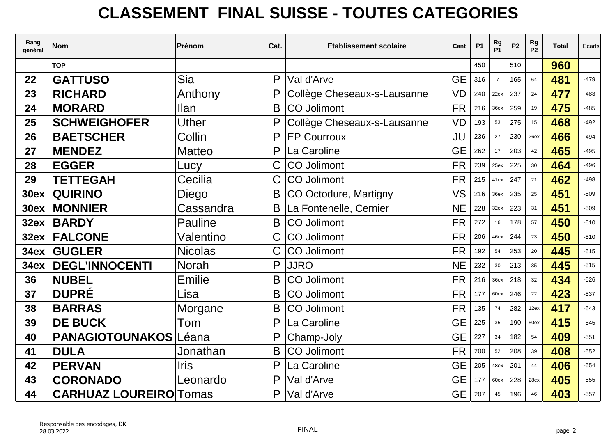## **CLASSEMENT FINAL SUISSE - TOUTES CATEGORIES**

| Rang<br>qénéral | <b>Nom</b>                    | Prénom         | Cat.         | <b>Etablissement scolaire</b> | Cant      | <b>P1</b> | Rg<br>P <sub>1</sub> | <b>P2</b> | Rg<br><b>P2</b> | <b>Total</b> | Ecarts |
|-----------------|-------------------------------|----------------|--------------|-------------------------------|-----------|-----------|----------------------|-----------|-----------------|--------------|--------|
|                 | <b>TOP</b>                    |                |              |                               |           | 450       |                      | 510       |                 | 960          |        |
| 22              | <b>GATTUSO</b>                | Sia            | P            | Val d'Arve                    | <b>GE</b> | 316       | $\overline{7}$       | 165       | 64              | 481          | $-479$ |
| 23              | <b>RICHARD</b>                | Anthony        | P            | Collège Cheseaux-s-Lausanne   | <b>VD</b> | 240       | 22ex                 | 237       | 24              | 477          | $-483$ |
| 24              | <b>MORARD</b>                 | llan           | B            | <b>CO Jolimont</b>            | <b>FR</b> | 216       | 36ex                 | 259       | 19              | 475          | $-485$ |
| 25              | <b>SCHWEIGHOFER</b>           | <b>Uther</b>   | P            | Collège Cheseaux-s-Lausanne   | <b>VD</b> | 193       | 53                   | 275       | 15              | 468          | $-492$ |
| 26              | <b>BAETSCHER</b>              | Collin         | P            | <b>EP Courroux</b>            | JU        | 236       | 27                   | 230       | 26ex            | 466          | $-494$ |
| 27              | <b>MENDEZ</b>                 | <b>Matteo</b>  | $\mathsf{P}$ | La Caroline                   | <b>GE</b> | 262       | 17                   | 203       | 42              | 465          | $-495$ |
| 28              | <b>EGGER</b>                  | Lucy           | С            | <b>CO Jolimont</b>            | <b>FR</b> | 239       | 25ex                 | 225       | 30              | 464          | $-496$ |
| 29              | <b>TETTEGAH</b>               | Cecilia        |              | <b>CO Jolimont</b>            | <b>FR</b> | 215       | 41ex                 | 247       | 21              | 462          | $-498$ |
| <b>30ex</b>     | <b>QUIRINO</b>                | Diego          | B            | CO Octodure, Martigny         | <b>VS</b> | 216       | 36ex                 | 235       | 25              | 451          | $-509$ |
| <b>30ex</b>     | <b>MONNIER</b>                | Cassandra      | B            | La Fontenelle, Cernier        | <b>NE</b> | 228       | 32ex                 | 223       | 31              | 451          | $-509$ |
| 32ex            | <b>BARDY</b>                  | <b>Pauline</b> | B            | <b>CO Jolimont</b>            | <b>FR</b> | 272       | 16                   | 178       | 57              | 450          | $-510$ |
| 32ex            | <b>FALCONE</b>                | Valentino      | C            | <b>CO Jolimont</b>            | <b>FR</b> | 206       | 46ex                 | 244       | 23              | 450          | $-510$ |
| <b>34ex</b>     | <b>GUGLER</b>                 | <b>Nicolas</b> | С            | <b>CO Jolimont</b>            | <b>FR</b> | 192       | 54                   | 253       | 20              | 445          | $-515$ |
| 34ex            | <b>DEGL'INNOCENTI</b>         | Norah          | P            | <b>JJRO</b>                   | <b>NE</b> | 232       | 30                   | 213       | 35              | 445          | $-515$ |
| 36              | <b>NUBEL</b>                  | <b>Emilie</b>  | B            | <b>CO Jolimont</b>            | <b>FR</b> | 216       | 36ex                 | 218       | 32              | 434          | $-526$ |
| 37              | <b>DUPRÉ</b>                  | Lisa           | B            | <b>CO Jolimont</b>            | <b>FR</b> | 177       | 60ex                 | 246       | 22              | 423          | $-537$ |
| 38              | <b>BARRAS</b>                 | Morgane        | B            | <b>CO Jolimont</b>            | <b>FR</b> | 135       | 74                   | 282       | 12ex            | 417          | $-543$ |
| 39              | <b>DE BUCK</b>                | Tom            | P            | La Caroline                   | <b>GE</b> | 225       | 35                   | 190       | 50ex            | 415          | $-545$ |
| 40              | <b>PANAGIOTOUNAKOS Léana</b>  |                | P            | Champ-Joly                    | <b>GE</b> | 227       | 34                   | 182       | 54              | 409          | $-551$ |
| 41              | <b>DULA</b>                   | Jonathan       | B            | <b>CO Jolimont</b>            | <b>FR</b> | 200       | 52                   | 208       | 39              | 408          | $-552$ |
| 42              | <b>PERVAN</b>                 | <b>Iris</b>    | P            | La Caroline                   | <b>GE</b> | 205       | 48ex                 | 201       | 44              | 406          | $-554$ |
| 43              | <b>CORONADO</b>               | Leonardo       | P            | Val d'Arve                    | <b>GE</b> | 177       | 60ex                 | 228       | 28ex            | 405          | $-555$ |
| 44              | <b>CARHUAZ LOUREIRO Tomas</b> |                | P            | Val d'Arve                    | <b>GE</b> | 207       | 45                   | 196       | 46              | 403          | $-557$ |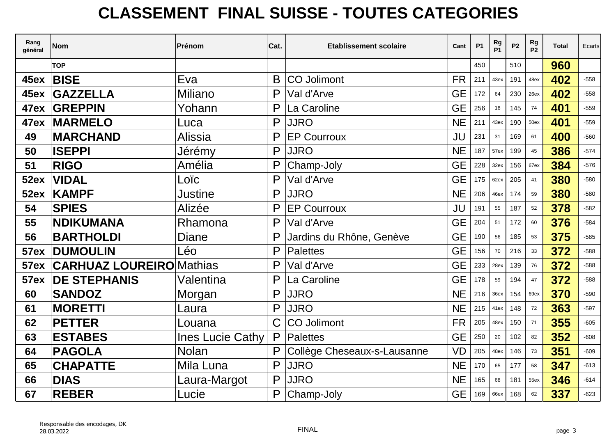## **CLASSEMENT FINAL SUISSE - TOUTES CATEGORIES**

| Rang<br>général | <b>Nom</b>                      | Prénom                  | Cat.         | <b>Etablissement scolaire</b> | Cant      | <b>P1</b> | Rg<br><b>P1</b> | <b>P2</b> | Rg<br><b>P2</b> | <b>Total</b> | Ecarts |
|-----------------|---------------------------------|-------------------------|--------------|-------------------------------|-----------|-----------|-----------------|-----------|-----------------|--------------|--------|
|                 | <b>TOP</b>                      |                         |              |                               |           | 450       |                 | 510       |                 | 960          |        |
| 45ex            | <b>BISE</b>                     | Eva                     | B            | <b>CO Jolimont</b>            | <b>FR</b> | 211       | 43ex            | 191       | 48ex            | 402          | $-558$ |
| <b>45ex</b>     | <b>GAZZELLA</b>                 | Miliano                 | P            | Val d'Arve                    | <b>GE</b> | 172       | 64              | 230       | 26ex            | 402          | $-558$ |
| <b>47ex</b>     | <b>GREPPIN</b>                  | Yohann                  | P            | La Caroline                   | <b>GE</b> | 256       | 18              | 145       | 74              | 401          | $-559$ |
| 47ex            | <b>MARMELO</b>                  | Luca                    | P            | <b>JJRO</b>                   | <b>NE</b> | 211       | 43ex            | 190       | 50ex            | 401          | $-559$ |
| 49              | <b>MARCHAND</b>                 | Alissia                 | P            | <b>EP Courroux</b>            | <b>JU</b> | 231       | 31              | 169       | 61              | 400          | $-560$ |
| 50              | <b>ISEPPI</b>                   | Jérémy                  | P            | <b>JJRO</b>                   | <b>NE</b> | 187       | 57ex            | 199       | 45              | 386          | $-574$ |
| 51              | <b>RIGO</b>                     | Amélia                  | P            | Champ-Joly                    | <b>GE</b> | 228       | 32ex            | 156       | 67ex            | 384          | $-576$ |
| <b>52ex</b>     | <b>VIDAL</b>                    | Loïc                    | $\mathsf{P}$ | Val d'Arve                    | <b>GE</b> | 175       | 62ex            | 205       | 41              | 380          | $-580$ |
| <b>52ex</b>     | <b>KAMPF</b>                    | Justine                 | $\mathsf{P}$ | <b>JJRO</b>                   | <b>NE</b> | 206       | 46ex            | 174       | 59              | 380          | $-580$ |
| 54              | <b>SPIES</b>                    | Alizée                  | P            | <b>EP Courroux</b>            | JU        | 191       | 55              | 187       | 52              | 378          | $-582$ |
| 55              | <b>NDIKUMANA</b>                | Rhamona                 | P            | Val d'Arve                    | <b>GE</b> | 204       | 51              | 172       | 60              | 376          | $-584$ |
| 56              | <b>BARTHOLDI</b>                | <b>Diane</b>            | P            | Jardins du Rhône, Genève      | <b>GE</b> | 190       | 56              | 185       | 53              | 375          | $-585$ |
| <b>57ex</b>     | <b>DUMOULIN</b>                 | Léo                     | P            | <b>Palettes</b>               | <b>GE</b> | 156       | 70              | 216       | 33              | 372          | $-588$ |
| <b>57ex</b>     | <b>CARHUAZ LOUREIRO Mathias</b> |                         | P            | Val d'Arve                    | <b>GE</b> | 233       | 28ex            | 139       | 76              | 372          | $-588$ |
| <b>57ex</b>     | <b>DE STEPHANIS</b>             | Valentina               | P            | La Caroline                   | <b>GE</b> | 178       | 59              | 194       | 47              | 372          | $-588$ |
| 60              | <b>SANDOZ</b>                   | Morgan                  | $\mathsf{P}$ | <b>JJRO</b>                   | <b>NE</b> | 216       | 36ex            | 154       | 69ex            | 370          | $-590$ |
| 61              | <b>MORETTI</b>                  | Laura                   | P            | <b>JJRO</b>                   | <b>NE</b> | 215       | 41ex            | 148       | 72              | 363          | $-597$ |
| 62              | <b>PETTER</b>                   | Louana                  |              | <b>CO Jolimont</b>            | <b>FR</b> | 205       | 48ex            | 150       | 71              | 355          | $-605$ |
| 63              | <b>ESTABES</b>                  | <b>Ines Lucie Cathy</b> | P            | <b>Palettes</b>               | <b>GE</b> | 250       | 20              | 102       | 82              | 352          | $-608$ |
| 64              | <b>PAGOLA</b>                   | <b>Nolan</b>            | P            | Collège Cheseaux-s-Lausanne   | <b>VD</b> | 205       | 48ex            | 146       | 73              | 351          | $-609$ |
| 65              | <b>CHAPATTE</b>                 | Mila Luna               | P            | <b>JJRO</b>                   | <b>NE</b> | 170       | 65              | 177       | 58              | 347          | $-613$ |
| 66              | <b>DIAS</b>                     | Laura-Margot            | P            | <b>JJRO</b>                   | <b>NE</b> | 165       | 68              | 181       | 55ex            | 346          | $-614$ |
| 67              | <b>REBER</b>                    | Lucie                   | P            | Champ-Joly                    | <b>GE</b> | 169       | 66ex            | 168       | 62              | 337          | $-623$ |